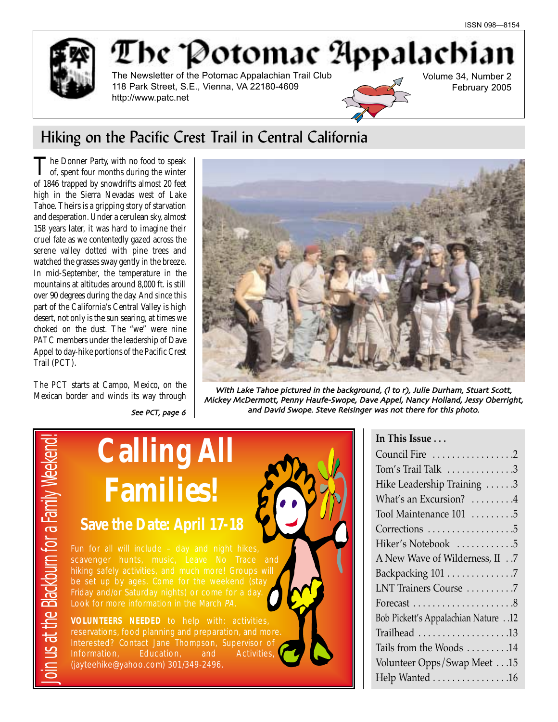

# The Potomac Appalachia The Newsletter of the Potomac Appalachian Trail Club

118 Park Street, S.E., Vienna, VA 22180-4609 http://www.patc.net



## Volume 34, Number 2 February 2005

# Hiking on the Pacific Crest Trail in Central California

The Donner Party, with no food to speak<br>of, spent four months during the winter of 1846 trapped by snowdrifts almost 20 feet high in the Sierra Nevadas west of Lake Tahoe. Theirs is a gripping story of starvation and desperation. Under a cerulean sky, almost 158 years later, it was hard to imagine their cruel fate as we contentedly gazed across the serene valley dotted with pine trees and watched the grasses sway gently in the breeze. In mid-September, the temperature in the mountains at altitudes around 8,000 ft. is still over 90 degrees during the day. And since this part of the California's Central Valley is high desert, not only is the sun searing, at times we choked on the dust. The "we" were nine PATC members under the leadership of Dave Appel to day-hike portions of the Pacific Crest Trail (PCT).

The PCT starts at Campo, Mexico, on the Mexican border and winds its way through



With Lake Tahoe pictured in the background, (I to r), Julie Durham, Stuart Scott, Mickey McDermott, Penny Haufe-Swope, Dave Appel, Nancy Holland, Jessy Oberright, and David Swope. Steve Reisinger was not there for this photo.



# **In This Issue . . .** Council Fire . . . . . . . . . . . . . . . . .2 Tom's Trail Talk  $\dots \dots \dots \dots$ Hike Leadership Training . . . . . . 3 What's an Excursion? . . . . . . . . . 4 Tool Maintenance 101 . . . . . . . . .5 Corrections . . . . . . . . . . . . . . . . . . 5 Hiker's Notebook . . . . . . . . . . . .5 A New Wave of Wilderness, II . .7 Backpacking 101 . . . . . . . . . . . . . .7 LNT Trainers Course . . . . . . . . . .7 Forecast . . . . . . . . . . . . . . . . . . . . .8 Bob Pickett's Appalachian Nature . .12 Trailhead . . . . . . . . . . . . . . . . . . .13 Tails from the Woods . . . . . . . . .14 Volunteer Opps/Swap Meet . . .15 Help Wanted . . . . . . . . . . . . . . . .16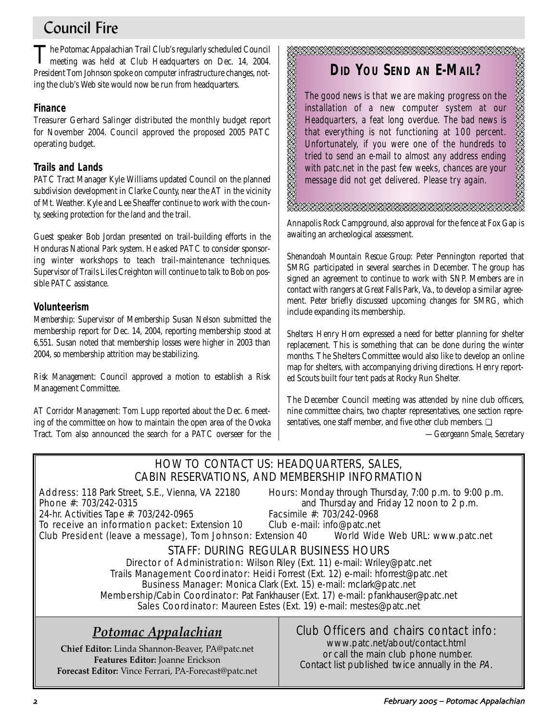# Council Fire

The Potomac Appalachian Trail Club's regularly scheduled Council<br>meeting was held at Club Headquarters on Dec. 14, 2004. President Tom Johnson spoke on computer infrastructure changes, noting the club's Web site would now be run from headquarters.

## **Finance**

Treasurer Gerhard Salinger distributed the monthly budget report for November 2004. Council approved the proposed 2005 PATC operating budget.

## **Trails and Lands**

PATC Tract Manager Kyle Williams updated Council on the planned subdivision development in Clarke County, near the AT in the vicinity of Mt. Weather. Kyle and Lee Sheaffer continue to work with the county, seeking protection for the land and the trail.

Guest speaker Bob Jordan presented on trail-building efforts in the Honduras National Park system. He asked PATC to consider sponsoring winter workshops to teach trail-maintenance techniques. Supervisor of Trails Liles Creighton will continue to talk to Bob on possible PATC assistance.

## **Volunteerism**

*Membership:* Supervisor of Membership Susan Nelson submitted the membership report for Dec. 14, 2004, reporting membership stood at 6,551. Susan noted that membership losses were higher in 2003 than 2004, so membership attrition may be stabilizing.

*Risk Management:* Council approved a motion to establish a Risk Management Committee.

*AT Corridor Management:* Tom Lupp reported about the Dec. 6 meeting of the committee on how to maintain the open area of the Ovoka Tract. Tom also announced the search for a PATC overseer for the

# **DID YOU SEND AN E-MAIL?**

The good news is that we are making progress on the installation of a new computer system at our Headquarters, a feat long overdue. The bad news is that everything is not functioning at 100 percent. Unfortunately, if you were one of the hundreds to tried to send an e-mail to almost any address ending with patc.net in the past few weeks, chances are your message did not get delivered. Please try again.

.<br>ZABRIBARA ERRABA ERRA ERRA ERRA ERRA

Annapolis Rock Campground, also approval for the fence at Fox Gap is awaiting an archeological assessment.

*Shenandoah Mountain Rescue Group:* Peter Pennington reported that SMRG participated in several searches in December. The group has signed an agreement to continue to work with SNP. Members are in contact with rangers at Great Falls Park, Va., to develop a similar agreement. Peter briefly discussed upcoming changes for SMRG, which include expanding its membership.

*Shelters:* Henry Horn expressed a need for better planning for shelter replacement. This is something that can be done during the winter months. The Shelters Committee would also like to develop an online map for shelters, with accompanying driving directions. Henry reported Scouts built four tent pads at Rocky Run Shelter.

The December Council meeting was attended by nine club officers, nine committee chairs, two chapter representatives, one section representatives, one staff member, and five other club members. ❏

*—Georgeann Smale, Secretary*

A BARA A BARA A BARA

## HOW TO CONTACT US: HEADQUARTERS, SALES, CABIN RESERVATIONS, AND MEMBERSHIP INFORMATION

RESERVED BEGYNNING ST

24-hr. Activities Tape #: 703/242-0965

Address: 118 Park Street, S.E., Vienna, VA 22180 Hours: Monday through Thursday, 7:00 p.m. to 9:00 p.m. **Phone #:** 703/242-0315 **and Thursday and Friday 12 noon to 2 p.m.**<br>24-hr. Activities Tape #: 703/242-0965 **Facsimile #:** 703/242-0968

To receive an information packet: Extension 10 Club e-mail: info@patc.net Club President (leave a message), Tom Johnson: Extension 40 World Wide Web URL: www.patc.net

# STAFF: DURING REGULAR BUSINESS HOURS

Director of Administration: Wilson Riley (Ext. 11) e-mail: Wriley@patc.net Trails Management Coordinator: Heidi Forrest (Ext. 12) e-mail: hforrest@patc.net Business Manager: Monica Clark (Ext. 15) e-mail: mclark@patc.net Membership/Cabin Coordinator: Pat Fankhauser (Ext. 17) e-mail: pfankhauser@patc.net Sales Coordinator: Maureen Estes (Ext. 19) e-mail: mestes@patc.net

# *Potomac Appalachian*

**Chief Editor:** Linda Shannon-Beaver, PA@patc.net **Features Editor:** Joanne Erickson **Forecast Editor:** Vince Ferrari, PA-Forecast@patc.net

# Club Officers and chairs contact info:

www.patc.net/about/contact.html or call the main club phone number. Contact list published twice annually in the PA.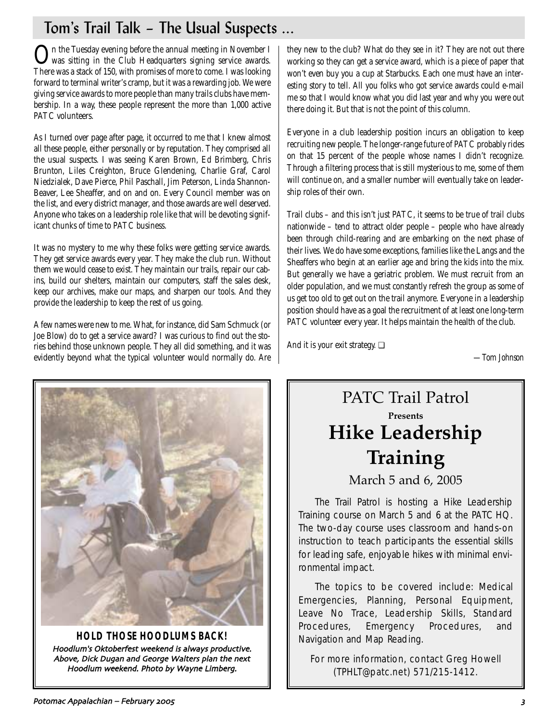# Tom's Trail Talk – The Usual Suspects ...

On the Tuesday evening before the annual meeting in November I<br>was sitting in the Club Headquarters signing service awards. There was a stack of 150, with promises of more to come. I was looking forward to terminal writer's cramp, but it was a rewarding job. We were giving service awards to more people than many trails clubs have membership. In a way, these people represent the more than 1,000 active PATC volunteers.

As I turned over page after page, it occurred to me that I knew almost all these people, either personally or by reputation. They comprised all the usual suspects. I was seeing Karen Brown, Ed Brimberg, Chris Brunton, Liles Creighton, Bruce Glendening, Charlie Graf, Carol Niedzialek, Dave Pierce, Phil Paschall, Jim Peterson, Linda Shannon-Beaver, Lee Sheaffer, and on and on. Every Council member was on the list, and every district manager, and those awards are well deserved. Anyone who takes on a leadership role like that will be devoting significant chunks of time to PATC business.

It was no mystery to me why these folks were getting service awards. They get service awards every year. They make the club run. Without them we would cease to exist. They maintain our trails, repair our cabins, build our shelters, maintain our computers, staff the sales desk, keep our archives, make our maps, and sharpen our tools. And they provide the leadership to keep the rest of us going.

A few names were new to me. What, for instance, did Sam Schmuck (or Joe Blow) do to get a service award? I was curious to find out the stories behind those unknown people. They all did something, and it was evidently beyond what the typical volunteer would normally do. Are they new to the club? What do they see in it? They are not out there working so they can get a service award, which is a piece of paper that won't even buy you a cup at Starbucks. Each one must have an interesting story to tell. All you folks who got service awards could e-mail me so that I would know what you did last year and why you were out there doing it. But that is not the point of this column.

Everyone in a club leadership position incurs an obligation to keep recruiting new people. The longer-range future of PATC probably rides on that 15 percent of the people whose names I didn't recognize. Through a filtering process that is still mysterious to me, some of them will continue on, and a smaller number will eventually take on leadership roles of their own.

Trail clubs – and this isn't just PATC, it seems to be true of trail clubs nationwide – tend to attract older people – people who have already been through child-rearing and are embarking on the next phase of their lives. We do have some exceptions, families like the Langs and the Sheaffers who begin at an earlier age and bring the kids into the mix. But generally we have a geriatric problem. We must recruit from an older population, and we must constantly refresh the group as some of us get too old to get out on the trail anymore. Everyone in a leadership position should have as a goal the recruitment of at least one long-term PATC volunteer every year. It helps maintain the health of the club.

And it is your exit strategy. ❏

*—Tom Johnson*



**HOLD THOSE HOODLUMS BACK!** Hoodlum's Oktoberfest weekend is always productive. Above, Dick Dugan and George Walters plan the next Hoodlum weekend. Photo by Wayne Limberg.

# PATC Trail Patrol **Presents Hike Leadership Training** March 5 and 6, 2005

The Trail Patrol is hosting a Hike Leadership Training course on March 5 and 6 at the PATC HQ. The two-day course uses classroom and hands-on instruction to teach participants the essential skills for leading safe, enjoyable hikes with minimal environmental impact.

The topics to be covered include: Medical Emergencies, Planning, Personal Equipment, Leave No Trace, Leadership Skills, Standard Procedures, Emergency Procedures, and Navigation and Map Reading.

For more information, contact Greg Howell (TPHLT@patc.net) 571/215-1412.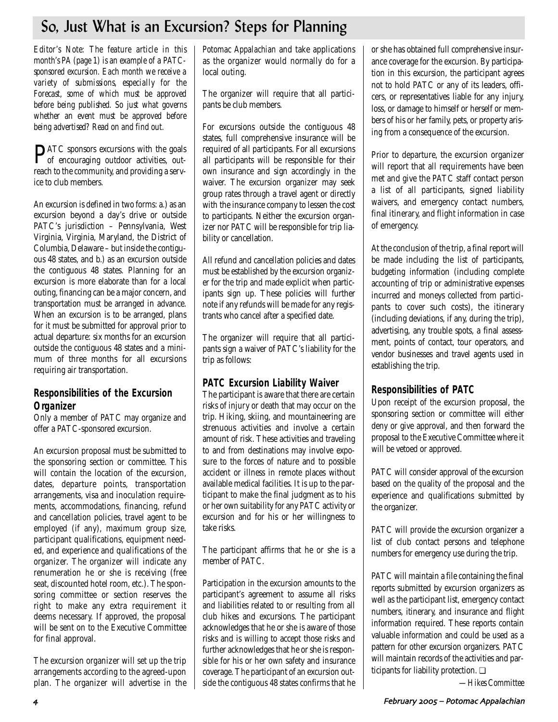# So, Just What is an Excursion? Steps for Planning

*Editor's Note: The feature article in this month's PA (page 1) is an example of a PATCsponsored excursion. Each month we receive a variety of submissions, especially for the Forecast, some of which must be approved before being published. So just what governs whether an event must be approved before being advertised? Read on and find out.* 

PATC sponsors excursions with the goals of encouraging outdoor activities, outreach to the community, and providing a service to club members.

An excursion is defined in two forms: a.) as an excursion beyond a day's drive or outside PATC's jurisdiction – Pennsylvania, West Virginia, Virginia, Maryland, the District of Columbia, Delaware – but inside the contiguous 48 states, and b.) as an excursion outside the contiguous 48 states. Planning for an excursion is more elaborate than for a local outing, financing can be a major concern, and transportation must be arranged in advance. When an excursion is to be arranged, plans for it must be submitted for approval prior to actual departure: six months for an excursion outside the contiguous 48 states and a minimum of three months for all excursions requiring air transportation.

## **Responsibilities of the Excursion Organizer**

Only a member of PATC may organize and offer a PATC-sponsored excursion.

An excursion proposal must be submitted to the sponsoring section or committee. This will contain the location of the excursion, dates, departure points, transportation arrangements, visa and inoculation requirements, accommodations, financing, refund and cancellation policies, travel agent to be employed (if any), maximum group size, participant qualifications, equipment needed, and experience and qualifications of the organizer. The organizer will indicate any renumeration he or she is receiving (free seat, discounted hotel room, etc.). The sponsoring committee or section reserves the right to make any extra requirement it deems necessary. If approved, the proposal will be sent on to the Executive Committee for final approval.

The excursion organizer will set up the trip arrangements according to the agreed-upon plan. The organizer will advertise in the *Potomac Appalachian* and take applications as the organizer would normally do for a local outing.

The organizer will require that all participants be club members.

For excursions outside the contiguous 48 states, full comprehensive insurance will be required of all participants. For all excursions all participants will be responsible for their own insurance and sign accordingly in the waiver. The excursion organizer may seek group rates through a travel agent or directly with the insurance company to lessen the cost to participants. Neither the excursion organizer nor PATC will be responsible for trip liability or cancellation.

All refund and cancellation policies and dates must be established by the excursion organizer for the trip and made explicit when participants sign up. These policies will further note if any refunds will be made for any registrants who cancel after a specified date.

The organizer will require that all participants sign a waiver of PATC's liability for the trip as follows:

## **PATC Excursion Liability Waiver**

The participant is aware that there are certain risks of injury or death that may occur on the trip. Hiking, skiing, and mountaineering are strenuous activities and involve a certain amount of risk. These activities and traveling to and from destinations may involve exposure to the forces of nature and to possible accident or illness in remote places without available medical facilities. It is up to the participant to make the final judgment as to his or her own suitability for any PATC activity or excursion and for his or her willingness to take risks.

The participant affirms that he or she is a member of PATC.

Participation in the excursion amounts to the participant's agreement to assume all risks and liabilities related to or resulting from all club hikes and excursions. The participant acknowledges that he or she is aware of those risks and is willing to accept those risks and further acknowledges that he or she is responsible for his or her own safety and insurance coverage. The participant of an excursion outside the contiguous 48 states confirms that he

or she has obtained full comprehensive insurance coverage for the excursion. By participation in this excursion, the participant agrees not to hold PATC or any of its leaders, officers, or representatives liable for any injury, loss, or damage to himself or herself or members of his or her family, pets, or property arising from a consequence of the excursion.

Prior to departure, the excursion organizer will report that all requirements have been met and give the PATC staff contact person a list of all participants, signed liability waivers, and emergency contact numbers, final itinerary, and flight information in case of emergency.

At the conclusion of the trip, a final report will be made including the list of participants, budgeting information (including complete accounting of trip or administrative expenses incurred and moneys collected from participants to cover such costs), the itinerary (including deviations, if any, during the trip), advertising, any trouble spots, a final assessment, points of contact, tour operators, and vendor businesses and travel agents used in establishing the trip.

## **Responsibilities of PATC**

Upon receipt of the excursion proposal, the sponsoring section or committee will either deny or give approval, and then forward the proposal to the Executive Committee where it will be vetoed or approved.

PATC will consider approval of the excursion based on the quality of the proposal and the experience and qualifications submitted by the organizer.

PATC will provide the excursion organizer a list of club contact persons and telephone numbers for emergency use during the trip.

PATC will maintain a file containing the final reports submitted by excursion organizers as well as the participant list, emergency contact numbers, itinerary, and insurance and flight information required. These reports contain valuable information and could be used as a pattern for other excursion organizers. PATC will maintain records of the activities and participants for liability protection. ❏

*—Hikes Committee*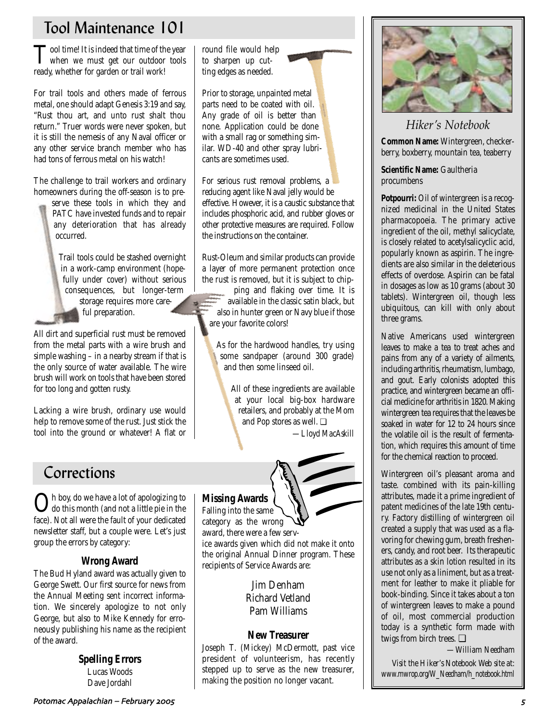# Tool Maintenance 101

Tool time! It is indeed that time of the year when we must get our outdoor tools ready, whether for garden or trail work!

For trail tools and others made of ferrous metal, one should adapt Genesis 3:19 and say, "Rust thou art, and unto rust shalt thou return." Truer words were never spoken, but it is still the nemesis of any Naval officer or any other service branch member who has had tons of ferrous metal on his watch!

The challenge to trail workers and ordinary homeowners during the off-season is to pre-

> serve these tools in which they and PATC have invested funds and to repair any deterioration that has already occurred.

Trail tools could be stashed overnight in a work-camp environment (hopefully under cover) without serious consequences, but longer-term storage requires more careful preparation.

All dirt and superficial rust must be removed from the metal parts with a wire brush and simple washing – in a nearby stream if that is the only source of water available. The wire brush will work on tools that have been stored for too long and gotten rusty.

Lacking a wire brush, ordinary use would help to remove some of the rust. Just stick the tool into the ground or whatever! A flat or

# Corrections

Oh boy, do we have a lot of apologizing to do this month (and not a little pie in the face). Not all were the fault of your dedicated newsletter staff, but a couple were. Let's just group the errors by category:

## **Wrong Award**

The Bud Hyland award was actually given to George Swett. Our first source for news from the Annual Meeting sent incorrect information. We sincerely apologize to not only George, but also to Mike Kennedy for erroneously publishing his name as the recipient of the award.

> **Spelling Errors** Lucas Woods Dave Jordahl

round file would help to sharpen up cutting edges as needed.



Prior to storage, unpainted metal parts need to be coated with oil. Any grade of oil is better than none. Application could be done with a small rag or something similar. WD-40 and other spray lubricants are sometimes used.

For serious rust removal problems, a reducing agent like Naval jelly would be effective. However, it is a caustic substance that includes phosphoric acid, and rubber gloves or other protective measures are required. Follow the instructions on the container.

Rust-Oleum and similar products can provide a layer of more permanent protection once the rust is removed, but it is subject to chip-

ping and flaking over time. It is available in the classic satin black, but also in hunter green or Navy blue if those are your favorite colors!

As for the hardwood handles, try using some sandpaper (around 300 grade) and then some linseed oil.

> All of these ingredients are available at your local big-box hardware retailers, and probably at the Mom and Pop stores as well. ❏ *—Lloyd MacAskill*



**Missing Awards** Falling into the same

category as the wrong award, there were a few service awards given which did not make it onto the original Annual Dinner program. These recipients of Service Awards are:

> Jim Denham Richard Vetland Pam Williams

## **New Treasurer**

Joseph T. (Mickey) McDermott, past vice president of volunteerism, has recently stepped up to serve as the new treasurer, making the position no longer vacant.



# *Hiker's Notebook*

**Common Name:** Wintergreen, checkerberry, boxberry, mountain tea, teaberry

**Scientific Name:** Gaultheria procumbens

**Potpourri:** Oil of wintergreen is a recognized medicinal in the United States pharmacopoeia. The primary active ingredient of the oil, methyl salicyclate, is closely related to acetylsalicyclic acid, popularly known as aspirin. The ingredients are also similar in the deleterious effects of overdose. Aspirin can be fatal in dosages as low as 10 grams (about 30 tablets). Wintergreen oil, though less ubiquitous, can kill with only about three grams.

Native Americans used wintergreen leaves to make a tea to treat aches and pains from any of a variety of ailments, including arthritis, rheumatism, lumbago, and gout. Early colonists adopted this practice, and wintergreen became an official medicine for arthritis in 1820. Making wintergreen tea requires that the leaves be soaked in water for 12 to 24 hours since the volatile oil is the result of fermentation, which requires this amount of time for the chemical reaction to proceed.

Wintergreen oil's pleasant aroma and taste. combined with its pain-killing attributes, made it a prime ingredient of patent medicines of the late 19th century. Factory distilling of wintergreen oil created a supply that was used as a flavoring for chewing gum, breath fresheners, candy, and root beer. Its therapeutic attributes as a skin lotion resulted in its use not only as a liniment, but as a treatment for leather to make it pliable for book-binding. Since it takes about a ton of wintergreen leaves to make a pound of oil, most commercial production today is a synthetic form made with twigs from birch trees. ❏

*—William Needham*

*Visit the Hiker's Notebook Web site at: www.mwrop.org/W\_Needham/h\_notebook.html*

Potomac Appalachian – February ,../ /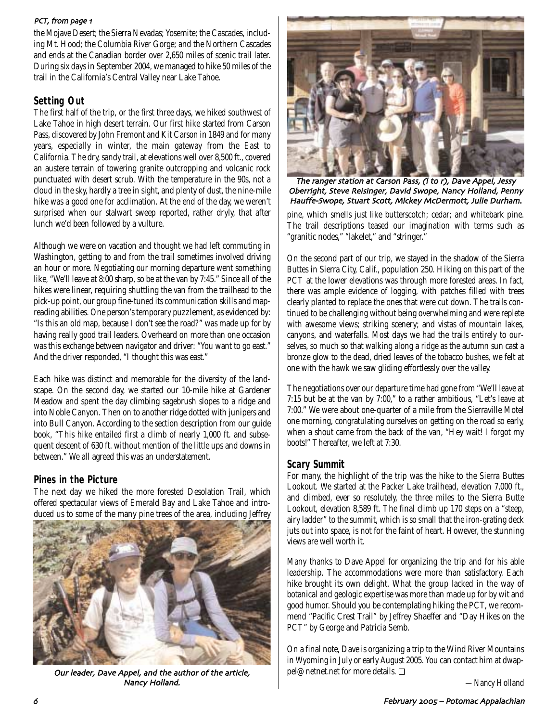### PCT, from page 1

the Mojave Desert; the Sierra Nevadas; Yosemite; the Cascades, including Mt. Hood; the Columbia River Gorge; and the Northern Cascades and ends at the Canadian border over 2,650 miles of scenic trail later. During six days in September 2004, we managed to hike 50 miles of the trail in the California's Central Valley near Lake Tahoe.

## **Setting Out**

The first half of the trip, or the first three days, we hiked southwest of Lake Tahoe in high desert terrain. Our first hike started from Carson Pass, discovered by John Fremont and Kit Carson in 1849 and for many years, especially in winter, the main gateway from the East to California. The dry, sandy trail, at elevations well over 8,500 ft., covered an austere terrain of towering granite outcropping and volcanic rock punctuated with desert scrub. With the temperature in the 90s, not a cloud in the sky, hardly a tree in sight, and plenty of dust, the nine-mile hike was a good one for acclimation. At the end of the day, we weren't surprised when our stalwart sweep reported, rather dryly, that after lunch we'd been followed by a vulture.

Although we were on vacation and thought we had left commuting in Washington, getting to and from the trail sometimes involved driving an hour or more. Negotiating our morning departure went something like, "We'll leave at 8:00 sharp, so be at the van by 7:45." Since all of the hikes were linear, requiring shuttling the van from the trailhead to the pick-up point, our group fine-tuned its communication skills and mapreading abilities. One person's temporary puzzlement, as evidenced by: "Is this an old map, because I don't see the road?" was made up for by having really good trail leaders. Overheard on more than one occasion was this exchange between navigator and driver: "You want to go east." And the driver responded, "I thought this was east."

Each hike was distinct and memorable for the diversity of the landscape. On the second day, we started our 10-mile hike at Gardener Meadow and spent the day climbing sagebrush slopes to a ridge and into Noble Canyon. Then on to another ridge dotted with junipers and into Bull Canyon. According to the section description from our guide book, "This hike entailed first a climb of nearly 1,000 ft. and subsequent descent of 630 ft. without mention of the little ups and downs in between." We all agreed this was an understatement.

## **Pines in the Picture**

The next day we hiked the more forested Desolation Trail, which offered spectacular views of Emerald Bay and Lake Tahoe and introduced us to some of the many pine trees of the area, including Jeffrey



Our leader, Dave Appel, and the author of the article, Nancy Holland.



The ranger station at Carson Pass, (I to r), Dave Appel, Jessy Oberright, Steve Reisinger, David Swope, Nancy Holland, Penny Hauffe-Swope, Stuart Scott, Mickey McDermott, Julie Durham.

pine, which smells just like butterscotch; cedar; and whitebark pine. The trail descriptions teased our imagination with terms such as "granitic nodes," "lakelet," and "stringer."

On the second part of our trip, we stayed in the shadow of the Sierra Buttes in Sierra City, Calif., population 250. Hiking on this part of the PCT at the lower elevations was through more forested areas. In fact, there was ample evidence of logging, with patches filled with trees clearly planted to replace the ones that were cut down. The trails continued to be challenging without being overwhelming and were replete with awesome views; striking scenery; and vistas of mountain lakes, canyons, and waterfalls. Most days we had the trails entirely to ourselves, so much so that walking along a ridge as the autumn sun cast a bronze glow to the dead, dried leaves of the tobacco bushes, we felt at one with the hawk we saw gliding effortlessly over the valley.

The negotiations over our departure time had gone from "We'll leave at 7:15 but be at the van by 7:00," to a rather ambitious, "Let's leave at 7:00." We were about one-quarter of a mile from the Sierraville Motel one morning, congratulating ourselves on getting on the road so early, when a shout came from the back of the van, "Hey wait! I forgot my boots!" Thereafter, we left at 7:30.

## **Scary Summit**

For many, the highlight of the trip was the hike to the Sierra Buttes Lookout. We started at the Packer Lake trailhead, elevation 7,000 ft., and climbed, ever so resolutely, the three miles to the Sierra Butte Lookout, elevation 8,589 ft. The final climb up 170 steps on a "steep, airy ladder" to the summit, which is so small that the iron-grating deck juts out into space, is not for the faint of heart. However, the stunning views are well worth it.

Many thanks to Dave Appel for organizing the trip and for his able leadership. The accommodations were more than satisfactory. Each hike brought its own delight. What the group lacked in the way of botanical and geologic expertise was more than made up for by wit and good humor. Should you be contemplating hiking the PCT, we recommend "Pacific Crest Trail" by Jeffrey Shaeffer and "Day Hikes on the PCT" by George and Patricia Semb.

On a final note, Dave is organizing a trip to the Wind River Mountains in Wyoming in July or early August 2005. You can contact him at dwappel@netnet.net for more details. ❏

*—Nancy Holland*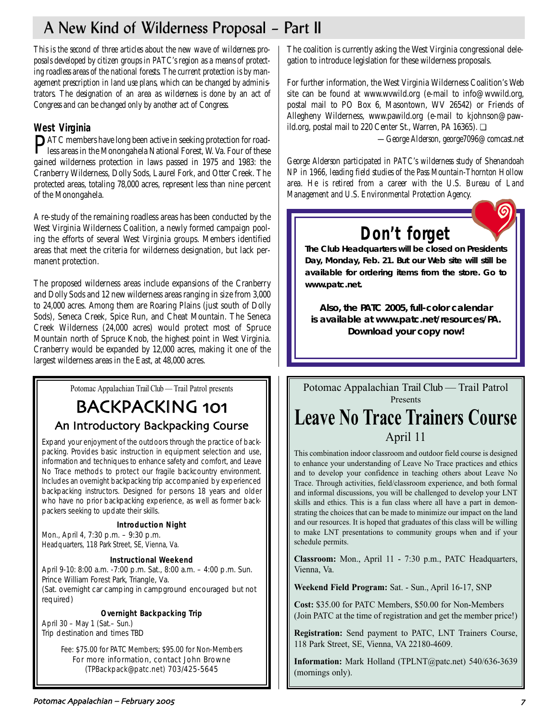# A New Kind of Wilderness Proposal – Part II

*This is the second of three articles about the new wave of wilderness proposals developed by citizen groups in PATC's region as a means of protecting roadless areas of the national forests. The current protection is by management prescription in land use plans, which can be changed by administrators. The designation of an area as wilderness is done by an act of Congress and can be changed only by another act of Congress.*

# **West Virginia**

PATC members have long been active in seeking protection for road-less areas in the Monongahela National Forest, W. Va. Four of these gained wilderness protection in laws passed in 1975 and 1983: the Cranberry Wilderness, Dolly Sods, Laurel Fork, and Otter Creek. The protected areas, totaling 78,000 acres, represent less than nine percent of the Monongahela.

A re-study of the remaining roadless areas has been conducted by the West Virginia Wilderness Coalition, a newly formed campaign pooling the efforts of several West Virginia groups. Members identified areas that meet the criteria for wilderness designation, but lack permanent protection.

The proposed wilderness areas include expansions of the Cranberry and Dolly Sods and 12 new wilderness areas ranging in size from 3,000 to 24,000 acres. Among them are Roaring Plains (just south of Dolly Sods), Seneca Creek, Spice Run, and Cheat Mountain. The Seneca Creek Wilderness (24,000 acres) would protect most of Spruce Mountain north of Spruce Knob, the highest point in West Virginia. Cranberry would be expanded by 12,000 acres, making it one of the largest wilderness areas in the East, at 48,000 acres.

Potomac Appalachian Trail Club — Trail Patrol presents

# BACKPACKING 101 An Introductory Backpacking Course

Expand your enjoyment of the outdoors through the practice of backpacking. Provides basic instruction in equipment selection and use, information and techniques to enhance safety and comfort, and Leave No Trace methods to protect our fragile backcountry environment. Includes an overnight backpacking trip accompanied by experienced backpacking instructors. Designed for persons 18 years and older who have no prior backpacking experience, as well as former backpackers seeking to update their skills.

## **Introduction Night**

Mon., April 4, 7:30 p.m. – 9:30 p.m. Headquarters, 118 Park Street, SE, Vienna, Va.

## **Instructional Weekend**

April 9-10: 8:00 a.m. -7:00 p.m. Sat., 8:00 a.m. – 4:00 p.m. Sun. Prince William Forest Park, Triangle, Va. (Sat. overnight car camping in campground encouraged but not required)

## **Overnight Backpacking Trip**

April 30 – May 1 (Sat.– Sun.) Trip destination and times TBD

> Fee: \$75.00 for PATC Members; \$95.00 for Non-Members For more information, contact John Browne (TPBackpack@patc.net) 703/425-5645

The coalition is currently asking the West Virginia congressional delegation to introduce legislation for these wilderness proposals.

For further information, the West Virginia Wilderness Coalition's Web site can be found at www.wvwild.org (e-mail to info@wvwild.org, postal mail to PO Box 6, Masontown, WV 26542) or Friends of Allegheny Wilderness, www.pawild.org (e-mail to kjohnson@pawild.org, postal mail to 220 Center St., Warren, PA 16365). ❏

*—George Alderson, george7096@comcast.net* 

*George Alderson participated in PATC's wilderness study of Shenandoah NP in 1966, leading field studies of the Pass Mountain-Thornton Hollow area. He is retired from a career with the U.S. Bureau of Land Management and U.S. Environmental Protection Agency.*

# **Don't forget**

*The Club Headquarters will be closed on Presidents Day, Monday, Feb. 21. But our Web site will still be available for ordering items from the store. Go to www.patc.net.*

*Also, the PATC 2005, full-color calendar is available at www.patc.net/resources/PA. Download your copy now!*

Potomac Appalachian Trail Club — Trail Patrol Presents **Leave No Trace Trainers Course** April 11

This combination indoor classroom and outdoor field course is designed to enhance your understanding of Leave No Trace practices and ethics and to develop your confidence in teaching others about Leave No Trace. Through activities, field/classroom experience, and both formal and informal discussions, you will be challenged to develop your LNT skills and ethics. This is a fun class where all have a part in demonstrating the choices that can be made to minimize our impact on the land and our resources. It is hoped that graduates of this class will be willing to make LNT presentations to community groups when and if your schedule permits.

**Classroom:** Mon., April 11 - 7:30 p.m., PATC Headquarters, Vienna, Va.

**Weekend Field Program:** Sat. - Sun., April 16-17, SNP

**Cost:** \$35.00 for PATC Members, \$50.00 for Non-Members (Join PATC at the time of registration and get the member price!)

**Registration:** Send payment to PATC, LNT Trainers Course, 118 Park Street, SE, Vienna, VA 22180-4609.

**Information:** Mark Holland (TPLNT@patc.net) 540/636-3639 (mornings only).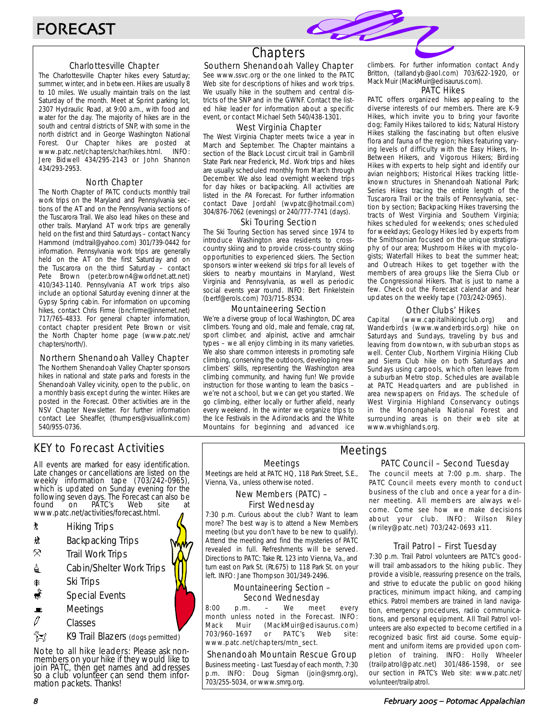### Charlottesville Chapter

The Charlottesville Chapter hikes every Saturday; summer, winter, and in between. Hikes are usually 8 to 10 miles. We usually maintain trails on the last Saturday of the month. Meet at Sprint parking lot, 2307 Hydraulic Road, at 9:00 a.m., with food and water for the day. The majority of hikes are in the south and central districts of SNP, with some in the north district and in George Washington National Forest. Our Chapter hikes are posted at www.patc.net/chapters/char/hikes.html. INFO: www.patc.net/chapters/char/hikes.html. Jere Bidwell 434/295-2143 or John Shannon 434/293-2953.

### North Chapter

The North Chapter of PATC conducts monthly trail work trips on the Maryland and Pennsylvania sections of the AT and on the Pennsylvania sections of the Tuscarora Trail. We also lead hikes on these and other trails. Maryland AT work trips are generally held on the first and third Saturdays – contact Nancy Hammond (mdtrail@yahoo.com) 301/739-0442 for information. Pennsylvania work trips are generally held on the AT on the first Saturday and on the Tuscarora on the third Saturday – contact Pete Brown (peter.brown4@worldnet.att.net) 410/343-1140. Pennsylvania AT work trips also include an optional Saturday evening dinner at the Gypsy Spring cabin. For information on upcoming hikes, contact Chris Firme (bncfirme@innernet.net) 717/765-4833. For general chapter information, contact chapter president Pete Brown or visit the North Chapter home page (www.patc.net/ chapters/north/).

#### Northern Shenandoah Valley Chapter

The Northern Shenandoah Valley Chapter sponsors hikes in national and state parks and forests in the Shenandoah Valley vicinity, open to the public, on a monthly basis except during the winter. Hikes are posted in the Forecast. Other activities are in the NSV Chapter Newsletter. For further information contact Lee Sheaffer, (thumpers@visuallink.com) 540/955-0736.

# **Chapters**

### Southern Shenandoah Valley Chapter

See www.ssvc.org or the one linked to the PATC Web site for descriptions of hikes and work trips. We usually hike in the southern and central districts of the SNP and in the GWNF. Contact the listed hike leader for information about a specific event, or contact Michael Seth 540/438-1301.

#### West Virginia Chapter

The West Virginia Chapter meets twice a year in March and September. The Chapter maintains a section of the Black Locust circuit trail in Gambrill State Park near Frederick, Md. Work trips and hikes are usually scheduled monthly from March through December. We also lead overnight weekend trips for day hikes or backpacking. All activities are listed in the PA Forecast. For further information contact Dave Jordahl (wvpatc@hotmail.com) 304/876-7062 (evenings) or 240/777-7741 (days).

#### Ski Touring Section

The Ski Touring Section has served since 1974 to introduce Washington area residents to crosscountry skiing and to provide cross-country skiing opportunities to experienced skiers. The Section sponsors winter weekend ski trips for all levels of skiers to nearby mountains in Maryland, West Virginia and Pennsylvania, as well as periodic social events year round. INFO: Bert Finkelstein (bertf@erols.com) 703/715-8534.

### Mountaineering Section

We're a diverse group of local Washington, DC area climbers. Young and old, male and female, crag rat, sport climber, and alpinist, active and armchair types – we all enjoy climbing in its many varieties. We also share common interests in promoting safe climbing, conserving the outdoors, developing new climbers' skills, representing the Washington area climbing community, and having fun! We provide instruction for those wanting to learn the basics – we're not a school, but we can get you started. We go climbing, either locally or further afield, nearly every weekend. In the winter we organize trips to the Ice Festivals in the Adirondacks and the White Mountains for beginning and advanced ice climbers. For further information contact Andy Britton, (tallandyb@aol.com) 703/622-1920, or Mack Muir (MackMuir@edisaurus.com).

#### PATC Hikes

PATC offers organized hikes appealing to the diverse interests of our members. There are K-9 Hikes, which invite you to bring your favorite dog; Family Hikes tailored to kids; Natural History Hikes stalking the fascinating but often elusive flora and fauna of the region; hikes featuring varying levels of difficulty with the Easy Hikers, In-Between Hikers, and Vigorous Hikers; Birding Hikes with experts to help sight and identify our avian neighbors; Historical Hikes tracking littleknown structures in Shenandoah National Park; Series Hikes tracing the entire length of the Tuscarora Trail or the trails of Pennsylvania, section by section; Backpacking Hikes traversing the tracts of West Virginia and Southern Virginia; hikes scheduled for weekends; ones scheduled for weekdays; Geology Hikes led by experts from the Smithsonian focused on the unique stratigraphy of our area; Mushroom Hikes with mycologists; Waterfall Hikes to beat the summer heat; and Outreach Hikes to get together with the members of area groups like the Sierra Club or the Congressional Hikers. That is just to name a few. Check out the Forecast calendar and hear updates on the weekly tape (703/242-0965).

### Other Clubs' Hikes

Capital (www.capitalhikingclub.org) and Wanderbirds (www.wanderbirds.org) hike on Saturdays and Sundays, traveling by bus and leaving from downtown, with suburban stops as well. Center Club, Northern Virginia Hiking Club and Sierra Club hike on both Saturdays and Sundays using carpools, which often leave from a suburban Metro stop. Schedules are available at PATC Headquarters and are published in area newspapers on Fridays. The schedule of West Virginia Highland Conservancy outings in the Monongahela National Forest and surrounding areas is on their web site at www.wvhighlands.org.

## KEY to Forecast Activities

All events are marked for easy identification. Late changes or cancellations are listed on the weekly information tape (703/242-0965), which is updated on Sunday evening for the following seven days. The Forecast can also be found on PATC's Web site at www.patc.net/activities/forecast.html.

- **\*** Hiking Trips
- \* Backpacking Trips
- $\mathcal{R}$  Trail Work Trips
- **i** Cabin/Shelter Work Trips
- **A** Ski Trips
- Special Events
- $\blacksquare$  Meetings
- $\varnothing$  Classes
- **X**<br>K9 Trail Blazers (dogs permitted)

Note to all hike leaders: Please ask nonmembers on your hike if they would like to join PATC, then get names and addresses so a club volunteer can send them information packets. Thanks!

Meetings

Meetings are held at PATC HQ, 118 Park Street, S.E., Vienna, Va., unless otherwise noted.

### New Members (PATC) – First Wednesday

7:30 p.m. Curious about the club? Want to learn more? The best way is to attend a New Members meeting (but you don't have to be new to qualify). Attend the meeting and find the mysteries of PATC revealed in full. Refreshments will be served. Directions to PATC: Take Rt. 123 into Vienna, Va., and turn east on Park St. (Rt.675) to 118 Park St. on your left. INFO: Jane Thompson 301/349-2496.

### Mountaineering Section – Second Wednesday

8:00 p.m. – We meet every month unless noted in the Forecast. INFO: Mack Muir (MackMuir@edisaurus.com) 703/960-1697 or PATC's Web site: www.patc.net/chapters/mtn\_sect.

### Shenandoah Mountain Rescue Group

Business meeting - Last Tuesday of each month, 7:30 p.m. INFO: Doug Sigman (join@smrg.org), 703/255-5034, or www.smrg.org.

### PATC Council – Second Tuesday Meetings

The council meets at 7:00 p.m. sharp. The PATC Council meets every month to conduct business of the club and once a year for a dinner meeting. All members are always welcome. Come see how we make decisions about your club. INFO: Wilson Riley (wriley@patc.net) 703/242-0693 x11.

### Trail Patrol – First Tuesday

7:30 p.m. Trail Patrol volunteers are PATC's goodwill trail ambassadors to the hiking public. They provide a visible, reassuring presence on the trails, and strive to educate the public on good hiking practices, minimum impact hiking, and camping ethics. Patrol members are trained in land navigation, emergency procedures, radio communications, and personal equipment. All Trail Patrol volunteers are also expected to become certified in a recognized basic first aid course. Some equipment and uniform items are provided upon completion of training. INFO: Holly Wheeler (trailpatrol@patc.net) 301/486-1598, or see our section in PATC's Web site: www.patc.net/ volunteer/trailpatrol.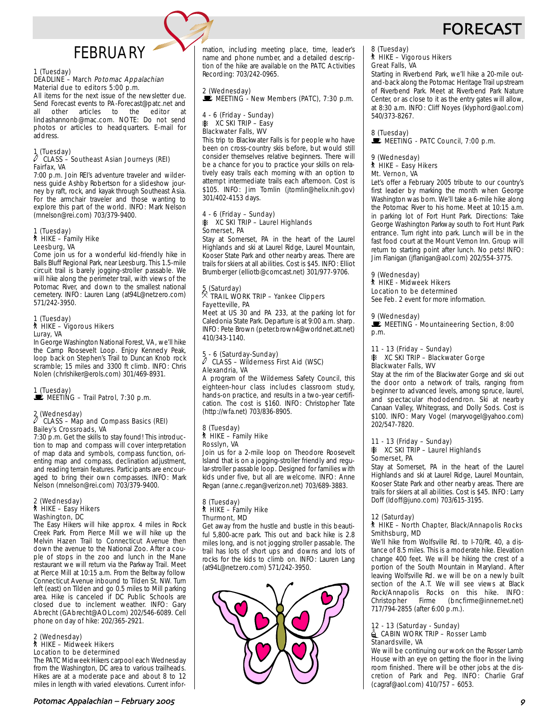# FORECAS

# **FFBRUARY**

### 1 (Tuesday)

#### DEADLINE – March Potomac Appalachian Material due to editors 5:00 p.m.

All items for the next issue of the newsletter due. Send Forecast events to PA-Forecast@patc.net and<br>all other articles to the editor at all other articles to the editor at lindashannonb@mac.com. NOTE: Do not send photos or articles to headquarters. E-mail for address.

# $\int$  (Tuesday)

#### CLASS – Southeast Asian Journeys (REI) Fairfax, VA

7:00 p.m. Join REI's adventure traveler and wilderness guide Ashby Robertson for a slideshow journey by raft, rock, and kayak through Southeast Asia. For the armchair traveler and those wanting to explore this part of the world. INFO: Mark Nelson (mnelson@rei.com) 703/379-9400.

#### 1 (Tuesday)  $\stackrel{\text{\normalsize in}}{=}$  HIKE – Family Hike Leesburg, VA

Come join us for a wonderful kid-friendly hike in Balls Bluff Regional Park, near Leesburg. This 1.5-mile circuit trail is barely jogging-stroller passable. We will hike along the perimeter trail, with views of the Potomac River, and down to the smallest national cemetery. INFO: Lauren Lang (at94L@netzero.com) 571/242-3950.

## 1 (Tuesday) ` HIKE – Vigorous Hikers Luray, VA

In George Washington National Forest, VA, we'll hike the Camp Roosevelt Loop. Enjoy Kennedy Peak, loop back on Stephen's Trail to Duncan Knob rock scramble; 15 miles and 3300 ft climb. INFO: Chris Nolen (chrishiker@erols.com) 301/469-8931.

# 1 (Tuesday)<br>■ MEETING – Trail Patrol, 7:30 p.m.

## 2 (Wednesday) a CLASS – Map and Compass Basics (REI) Bailey's Crossroads, VA

7:30 p.m. Get the skills to stay found! This introduction to map and compass will cover interpretation of map data and symbols, compass function, orienting map and compass, declination adjustment, and reading terrain features. Participants are encouraged to bring their own compasses. INFO: Mark Nelson (mnelson@rei.com) 703/379-9400.

## 2 (Wednesday) ` HIKE – Easy Hikers Washington, DC

The Easy Hikers will hike approx. 4 miles in Rock Creek Park. From Pierce Mill we will hike up the Melvin Hazen Trail to Connecticut Avenue then down the avenue to the National Zoo. After a couple of stops in the zoo and lunch in the Mane restaurant we will return via the Parkway Trail. Meet at Pierce Mill at 10:15 a.m. From the Beltway follow Connecticut Avenue inbound to Tilden St. NW. Turn left (east) on Tilden and go 0.5 miles to Mill parking area. Hike is canceled if DC Public Schools are closed due to inclement weather. INFO: Gary Abrecht (GAbrecht@AOL.com) 202/546-6089. Cell phone on day of hike: 202/365-2921.

## 2 (Wednesday) ` HIKE – Midweek Hikers Location to be determined

The PATC Midweek Hikers carpool each Wednesday from the Washington, DC area to various trailheads. Hikes are at a moderate pace and about 8 to 12 miles in length with varied elevations. Current information, including meeting place, time, leader's name and phone number, and a detailed description of the hike are available on the PATC Activities Recording: 703/242-0965.

2 (Wednesday)  $\mathbf{\dot{F}}$  MEETING - New Members (PATC), 7:30 p.m.

#### 4 - 6 (Friday - Sunday)  $\angle$  XC SKI TRIP – Easy Blackwater Falls, WV

This trip to Blackwater Falls is for people who have been on cross-country skis before, but would still consider themselves relative beginners. There will be a chance for you to practice your skills on relatively easy trails each morning with an option to attempt intermediate trails each afternoon. Cost is \$105. INFO: Jim Tomlin (jtomlin@helix.nih.gov) 301/402-4153 days.

#### 4 - 6 (Friday – Sunday) **K XC SKI TRIP – Laurel Highlands** Somerset, PA

Stay at Somerset, PA in the heart of the Laurel Highlands and ski at Laurel Ridge, Laurel Mountain, Kooser State Park and other nearby areas. There are trails for skiers at all abilities. Cost is \$45. INFO: Elliot Brumberger (elliotb@comcast.net) 301/977-9706.

## 5 (Saturday) . TRAIL WORK TRIP – Yankee Clippers Fayetteville, PA

Meet at US 30 and PA 233, at the parking lot for Caledonia State Park. Departure is at 9:00 a.m. sharp. INFO: Pete Brown (peter.brown4@worldnet.att.net) 410/343-1140.

## 5 - 6 (Saturday-Sunday) a CLASS – Wilderness First Aid (WSC) Alexandria, VA

A program of the Wilderness Safety Council, this eighteen-hour class includes classroom study, hands-on practice, and results in a two-year certification. The cost is \$160. INFO: Christopher Tate (http://wfa.net) 703/836-8905.

#### 8 (Tuesday)  $\hbar$  HIKE – Family Hike Rosslyn, VA

Join us for a 2-mile loop on Theodore Roosevelt Island that is on a jogging-stroller friendly and regular-stroller passable loop. Designed for families with kids under five, but all are welcome. INFO: Anne Regan (anne.c.regan@verizon.net) 703/689-3883.

## 8 (Tuesday) ` HIKE – Family Hike Thurmont, MD

Get away from the hustle and bustle in this beautiful 5,800-acre park. This out and back hike is 2.8 miles long, and is not jogging stroller passable. The trail has lots of short ups and downs and lots of rocks for the kids to climb on. INFO: Lauren Lang (at94L@netzero.com) 571/242-3950.



# 8 (Tuesday) ` HIKE – Vigorous Hikers

Great Falls, VA

Starting in Riverbend Park, we'll hike a 20-mile outand-back along the Potomac Heritage Trail upstream of Riverbend Park. Meet at Riverbend Park Nature Center, or as close to it as the entry gates will allow, at 8:30 a.m. INFO: Cliff Noyes (klyphord@aol.com) 540/373-8267.

8 (Tuesday) MEETING - PATC Council, 7:00 p.m.

#### 9 (Wednesday) ` HIKE – Easy Hikers Mt. Vernon, VA

Let's offer a February 2005 tribute to our country's first leader by marking the month when George Washington was born. We'll take a 6-mile hike along the Potomac River to his home. Meet at 10:15 a.m. in parking lot of Fort Hunt Park. Directions: Take George Washington Parkway south to Fort Hunt Park entrance. Turn right into park. Lunch will be in the fast food court at the Mount Vernon Inn. Group will return to starting point after lunch. No pets! INFO: Jim Flanigan (jflanigan@aol.com) 202/554-3775.

## 9 (Wednesday)

#### \* \''' \''' \''' \'''' \'''' \'''' \'''' \'''' \''' \''' \''' \''' \''' \''<br>\* HIKE - Midweek Hikers Location to be determined

See Feb. 2 event for more information.

### 9 (Wednesday)

MEETING - Mountaineering Section, 8:00 p.m.

### 11 - 13 (Friday – Sunday)

#### **K XC SKI TRIP - Blackwater Gorge** Blackwater Falls, WV

Stay at the rim of the Blackwater Gorge and ski out the door onto a network of trails, ranging from beginner to advanced levels, among spruce, laurel, and spectacular rhododendron. Ski at nearby Canaan Valley, Whitegrass, and Dolly Sods. Cost is \$100. INFO: Mary Vogel (maryvogel@yahoo.com) 202/547-7820.

#### 11 - 13 (Friday – Sunday) **K XC SKI TRIP – Laurel Highlands** Somerset, PA

Stay at Somerset, PA in the heart of the Laurel Highlands and ski at Laurel Ridge, Laurel Mountain, Kooser State Park and other nearby areas. There are trails for skiers at all abilities. Cost is \$45. INFO: Larry Doff (ldoff@juno.com) 703/615-3195.

### 12 (Saturday)

#### ` HIKE – North Chapter, Black/Annapolis Rocks Smithsburg, MD

We'll hike from Wolfsville Rd. to I-70/Rt. 40, a distance of 8.5 miles. This is a moderate hike. Elevation change 400 feet. We will be hiking the crest of a portion of the South Mountain in Maryland. After leaving Wolfsville Rd. we will be on a newly built section of the A.T. We will see views at Black Rock/Annapolis Rocks on this hike. INFO: (bncfirme@innernet.net) 717/794-2855 (after 6:00 p.m.).

#### 12 - 13 (Saturday - Sunday)  $\stackrel{1}{\equiv}$  CABIN WORK TRIP – Rosser Lamb Stanardsville, VA

We will be continuing our work on the Rosser Lamb House with an eye on getting the floor in the living room finished. There will be other jobs at the discretion of Park and Peg. INFO: Charlie Graf (cagraf@aol.com) 410/757 – 6053.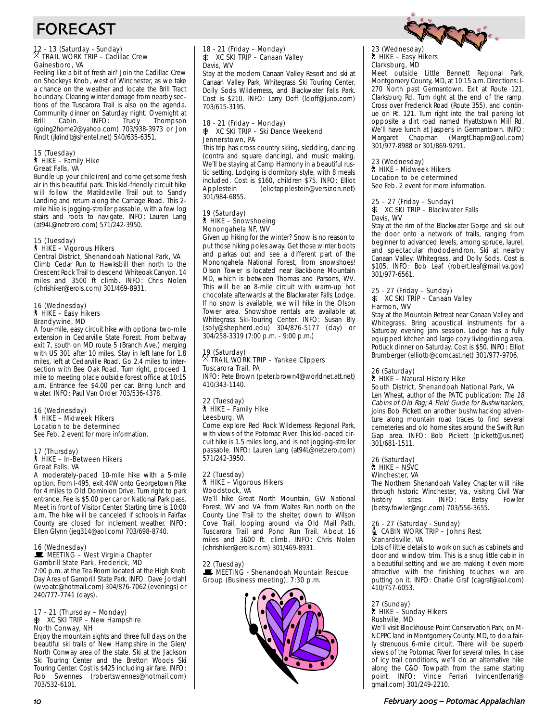

# FORECAST

## 12 - 13 (Saturday - Sunday) . TRAIL WORK TRIP – Cadillac Crew Gainesboro, VA

Feeling like a bit of fresh air? Join the Cadillac Crew on Shockeys Knob, west of Winchester, as we take a chance on the weather and locate the Brill Tract boundary. Clearing winter damage from nearby sections of the Tuscarora Trail is also on the agenda. Community dinner on Saturday night. Overnight at<br>
Brill Cabin. INFO: Trudy Thompson Thompson (going2home2@yahoo.com) 703/938-3973 or Jon Rindt (jkrindt@shentel.net) 540/635-6351.

#### 15 (Tuesday) ` HIKE – Family Hike Great Falls, VA

Bundle up your child(ren) and come get some fresh air in this beautiful park. This kid-friendly circuit hike will follow the Matildaville Trail out to Sandy Landing and return along the Carriage Road. This 2mile hike is jogging-stroller passable, with a few log stairs and roots to navigate. INFO: Lauren Lang (at94L@netzero.com) 571/242-3950.

### 15 (Tuesday)

## ` HIKE – Vigorous Hikers

Central District, Shenandoah National Park, VA Climb Cedar Run to Hawksbill then north to the Crescent Rock Trail to descend Whiteoak Canyon. 14 miles and 3500 ft climb. INFO: Chris Nolen (chrishiker@erols.com) 301/469-8931.

#### 16 (Wednesday) ` HIKE – Easy Hikers Brandywine, MD

A four-mile, easy circuit hike with optional two-mile extension in Cedarville State Forest. From beltway exit 7, south on MD route 5 (Branch Ave.) merging with US 301 after 10 miles. Stay in left lane for 1.8 miles, left at Cedarville Road. Go 2.4 miles to intersection with Bee Oak Road. Turn right, proceed 1 mile to meeting place outside forest office at 10:15 a.m. Entrance fee \$4.00 per car. Bring lunch and water. INFO: Paul Van Order 703/536-4378.

### 16 (Wednesday) ` HIKE – Midweek Hikers Location to be determined

See Feb. 2 event for more information.

#### 17 (Thursday) ` HIKE – In-Between Hikers Great Falls, VA

A moderately-paced 10-mile hike with a 5-mile option. From I-495, exit 44W onto Georgetown Pike for 4 miles to Old Dominion Drive. Turn right to park entrance. Fee is \$5.00 per car or National Park pass. Meet in front of Visitor Center. Starting time is 10:00 a.m. The hike will be canceled if schools in Fairfax County are closed for inclement weather. INFO: Ellen Glynn (jeg314@aol.com) 703/698-8740.

## 16 (Wednesday)<br>■ MEETING – West Virginia Chapter Gambrill State Park, Frederick, MD

7:00 p.m. at the Tea Room located at the High Knob Day Area of Gambrill State Park. INFO: Dave Jordahl (wvpatc@hotmail.com) 304/876-7062 (evenings) or 240/777-7741 (days).

#### 17 - 21 (Thursday – Monday) **K XC SKI TRIP – New Hampshire** North Conway, NH

Enjoy the mountain sights and three full days on the beautiful ski trails of New Hampshire in the Glen/ North Conway area of the state. Ski at the Jackson Ski Touring Center and the Bretton Woods Ski Touring Center. Cost is \$425 including air fare. INFO: Rob Swennes (robertswennes@hotmail.com) 703/532-6101.

#### 18 - 21 (Friday – Monday) **K XC SKI TRIP – Canaan Valley** Davis, WV

Stay at the modern Canaan Valley Resort and ski at Canaan Valley Park, Whitegrass Ski Touring Center, Dolly Sods Wilderness, and Blackwater Falls Park. Cost is \$210. INFO: Larry Doff (ldoff@juno.com) 703/615-3195.

#### 18 - 21 (Friday – Monday)  $\frac{12}{20}$  XC SKI TRIP – Ski Dance Weekend Jennerstown, PA

This trip has cross country skiing, sledding, dancing (contra and square dancing), and music making. We'll be staying at Camp Harmony in a beautiful rustic setting. Lodging is dormitory style, with 8 meals included. Cost is \$160, children \$75. INFO: Elliot (eliotapplestein@versizon.net) 301/984-6855.

#### 19 (Saturday) ` HIKE – Snowshoeing Monongahela NF, WV

Given up hiking for the winter? Snow is no reason to put those hiking poles away. Get those winter boots and parkas out and see a different part of the Monongahela National Forest, from snowshoes! Olson Tower is located near Backbone Mountain MD, which is between Thomas and Parsons, WV. This will be an 8-mile circuit with warm-up hot chocolate afterwards at the Blackwater Falls Lodge. If no snow is available, we will hike in the Olson Tower area. Snowshoe rentals are available at Whitegrass Ski-Touring Center. INFO: Susan Bly (sbly@shepherd.edu) 304/876-5177 (day) or 304/258-3319 (7:00 p.m. - 9:00 p.m.)

# 19 (Saturday) . TRAIL WORK TRIP – Yankee Clippers Tuscarora Trail, PA

INFO: Pete Brown (peter.brown4@worldnet.att.net) 410/343-1140.

#### 22 (Tuesday) ` HIKE – Family Hike Leesburg, VA

Come explore Red Rock Wilderness Regional Park, with views of the Potomac River. This kid-paced circuit hike is 1.5 miles long, and is not jogging-stroller passable. INFO: Lauren Lang (at94L@netzero.com) 571/242-3950.

#### 22 (Tuesday) ` HIKE – Vigorous Hikers Woodstock, VA

We'll hike Great North Mountain, GW National Forest, WV and VA from Waites Run north on the County Line Trail to the shelter, down to Wilson Cove Trail, looping around via Old Mail Path, Tuscarora Trail and Pond Run Trail. About 16 miles and 3600 ft. climb. INFO: Chris Nolen (chrishiker@erols.com) 301/469-8931.

### 22 (Tuesday)

**WEETING - Shenandoah Mountain Rescue** Group (Business meeting), 7:30 p.m.



## 23 (Wednesday) ` HIKE – Easy Hikers Clarksburg, MD

Meet outside Little Bennett Regional Park, Montgomery County, MD, at 10:15 a.m. Directions: I-270 North past Germantown. Exit at Route 121, Clarksburg Rd. Turn right at the end of the ramp. Cross over Frederick Road (Route 355), and continue on Rt. 121. Turn right into the trail parking lot opposite a dirt road named Hyattstown Mill Rd. We'll have lunch at Jasper's in Germantown. INFO: Margaret Chapman (MargtChapm@aol.com) 301/977-8988 or 301/869-9291.

#### 23 (Wednesday) ` HIKE - Midweek Hikers

Location to be determined See Feb. 2 event for more information.

#### 25 – 27 (Friday – Sunday)  $*$  XC SKI TRIP – Blackwater Falls Davis, WV

Stay at the rim of the Blackwater Gorge and ski out the door onto a network of trails, ranging from beginner to advanced levels, among spruce, laurel, and spectacular rhododendron. Ski at nearby Canaan Valley, Whitegrass, and Dolly Sods. Cost is \$105. INFO: Bob Leaf (robert.leaf@mail.va.gov) 301/977-6561.

#### 25 - 27 (Friday – Sunday)  $*$  XC SKI TRIP – Canaan Valley Harmon, WV

Stay at the Mountain Retreat near Canaan Valley and Whitegrass. Bring acoustical instruments for a Saturday evening jam session. Lodge has a fully equipped kitchen and large cozy living/dining area. Potluck dinner on Saturday. Cost is \$50. INFO: Elliot Brumberger (elliotb@comcast.net) 301/977-9706.

#### 26 (Saturday) ` HIKE – Natural History Hike South District, Shenandoah National Park, VA

Len Wheat, author of the PATC publication: The 18 Cabins of Old Rag; A Field Guide for Bushwhackers, joins Bob Pickett on another bushwhacking adventure along mountain road traces to find several cemeteries and old home sites around the Swift Run Gap area. INFO: Bob Pickett (pickett@us.net) 301/681-1511.

#### 26 (Saturday) ` HIKE – NSVC Winchester, VA

The Northern Shenandoah Valley Chapter will hike through historic Winchester, Va., visiting Civil War history sites. INFO: Betsy Fowler (betsy.fowler@ngc.com) 703/556-3655.

#### 26 - 27 (Saturday - Sunday)  $\triangleq$  CABIN WORK TRIP – Johns Rest Stanardsville, VA

Lots of little details to work on such as cabinets and door and window trim. This is a snug little cabin in a beautiful setting and we are making it even more attractive with the finishing touches we are putting on it. INFO: Charlie Graf (cagraf@aol.com) 410/757-6053.

#### 27 (Sunday) ` HIKE – Sunday Hikers Rushville, MD

We'll visit Blockhouse Point Conservation Park, on M-NCPPC land in Montgomery County, MD, to do a fairly strenuous 6-mile circuit. There will be superb views of the Potomac River for several miles. In case of icy trail conditions, we'll do an alternative hike along the C&O Towpath from the same starting point. INFO: Vince Ferrari (vincentferrari@ gmail.com) 301/249-2210.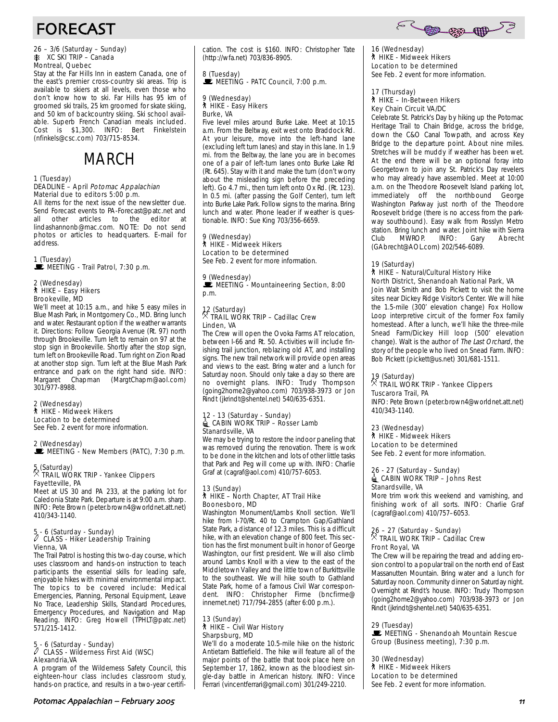

# FORECAST

## 26 – 3/6 (Saturday – Sunday) A XC SKI TRIP – Canada Montreal, Quebec

Stay at the Far Hills Inn in eastern Canada, one of the east's premier cross-country ski areas. Trip is available to skiers at all levels, even those who don't know how to ski. Far Hills has 95 km of groomed ski trails, 25 km groomed for skate skiing, and 50 km of backcountry skiing. Ski school available. Superb French Canadian meals included. Cost is \$1,300. INFO: Bert Finkelstein (nfinkels@csc.com) 703/715-8534.

# MARCH

#### 1 (Tuesday) DEADLINE – April Potomac Appalachian Material due to editors 5:00 p.m.

All items for the next issue of the newsletter due. Send Forecast events to PA-Forecast@patc.net and<br>all other articles to the editor at other articles to the editor at lindashannonb@mac.com. NOTE: Do not send photos or articles to headquarters. E-mail for address.

1 (Tuesday)<br>■ MEETING - Trail Patrol, 7:30 p.m.

#### 2 (Wednesday) ` HIKE – Easy Hikers Brookeville, MD

We'll meet at 10:15 a.m., and hike 5 easy miles in Blue Mash Park, in Montgomery Co., MD. Bring lunch and water. Restaurant option if the weather warrants it. Directions: Follow Georgia Avenue (Rt. 97) north through Brookeville. Turn left to remain on 97 at the stop sign in Brookeville. Shortly after the stop sign, turn left on Brookeville Road. Turn right on Zion Road at another stop sign. Turn left at the Blue Mash Park entrance and park on the right hand side. INFO:<br>Margaret Chapman (MargtChapm@aol.com) (MargtChapm@aol.com) 301/977-8988.

### 2 (Wednesday)

` HIKE - Midweek Hikers Location to be determined

See Feb. 2 event for more information.

2 (Wednesday) MEETING - New Members (PATC), 7:30 p.m.

## 5 (Saturday) . TRAIL WORK TRIP - Yankee Clippers Fayetteville, PA

Meet at US 30 and PA 233, at the parking lot for Caledonia State Park. Departure is at 9:00 a.m. sharp. INFO: Pete Brown (peter.brown4@worldnet.att.net) 410/343-1140.

## 5 - 6 (Saturday - Sunday) a CLASS - Hiker Leadership Training Vienna, VA

The Trail Patrol is hosting this two-day course, which uses classroom and hands-on instruction to teach participants the essential skills for leading safe, enjoyable hikes with minimal environmental impact. The topics to be covered include: Medical Emergencies, Planning, Personal Equipment, Leave No Trace, Leadership Skills, Standard Procedures, Emergency Procedures, and Navigation and Map Reading. INFO: Greg Howell (TPHLT@patc.net) 571/215-1412.

## 5 - 6 (Saturday - Sunday) a CLASS - Wilderness First Aid (WSC) Alexandria,VA

A program of the Wilderness Safety Council, this eighteen-hour class includes classroom study, hands-on practice, and results in a two-year certification. The cost is \$160. INFO: Christopher Tate (http://wfa.net) 703/836-8905.

# 8 (Tuesday)<br>WE MEETING - PATC Council, 7:00 p.m.

#### 9 (Wednesday) ` HIKE - Easy Hikers Burke, VA

Five level miles around Burke Lake. Meet at 10:15 a.m. From the Beltway, exit west onto Braddock Rd. At your leisure, move into the left-hand lane (excluding left turn lanes) and stay in this lane. In 1.9 mi. from the Beltway, the lane you are in becomes one of a pair of left-turn lanes onto Burke Lake Rd (Rt. 645). Stay with it and make the turn (don't worry about the misleading sign before the preceding left). Go 4.7 mi., then turn left onto Ox Rd. (Rt. 123). In 0.5 mi. (after passing the Golf Center), turn left into Burke Lake Park. Follow signs to the marina. Bring lunch and water. Phone leader if weather is questionable. INFO: Sue King 703/356-6659.

#### 9 (Wednesday) ` HIKE - Midweek Hikers

Location to be determined See Feb. 2 event for more information.

9 (Wednesday)  $\mathbb E$  MEETING - Mountaineering Section, 8:00 p.m.

## 12 (Saturday) . TRAIL WORK TRIP – Cadillac Crew Linden, VA

The Crew will open the Ovoka Farms AT relocation, between I-66 and Rt. 50. Activities will include finishing trail junction, reblazing old AT, and installing signs. The new trail network will provide open areas and views to the east. Bring water and a lunch for Saturday noon. Should only take a day so there are no overnight plans. INFO: Trudy Thompson (going2home2@yahoo.com) 703/938-3973 or Jon Rindt (jkrindt@shentel.net) 540/635-6351.

#### 12 - 13 (Saturday - Sunday) **4** CABIN WORK TRIP – Rosser Lamb Stanardsville, VA

We may be trying to restore the indoor paneling that was removed during the renovation. There is work to be done in the kitchen and lots of other little tasks that Park and Peg will come up with. INFO: Charlie Graf at (cagraf@aol.com) 410/757-6053.

#### 13 (Sunday) ` HIKE – North Chapter, AT Trail Hike Boonesboro, MD

Washington Monument/Lambs Knoll section. We'll hike from I-70/Rt. 40 to Crampton Gap/Gathland State Park, a distance of 12.3 miles. This is a difficult hike, with an elevation change of 800 feet. This section has the first monument built in honor of George Washington, our first president. We will also climb around Lambs Knoll with a view to the east of the Middletown Valley and the little town of Burkittsville to the southeast. We will hike south to Gathland State Park, home of a famous Civil War correspondent. INFO: Christopher Firme (bncfirme@ innernet.net) 717/794-2855 (after 6:00 p.m.).

## 13 (Sunday)<br>┆ HIKE – Civil War History Sharpsburg, MD

We'll do a moderate 10.5-mile hike on the historic Antietam Battlefield. The hike will feature all of the major points of the battle that took place here on September 17, 1862, known as the bloodiest single-day battle in American history. INFO: Vince Ferrari (vincentferrari@gmail.com) 301/249-2210.

16 (Wednesday) ` HIKE - Midweek Hikers Location to be determined See Feb. 2 event for more information.

#### 17 (Thursday) ` HIKE – In-Between Hikers Key Chain Circuit VA/DC

Celebrate St. Patrick's Day by hiking up the Potomac Heritage Trail to Chain Bridge, across the bridge, down the C&O Canal Towpath, and across Key Bridge to the departure point. About nine miles. Stretches will be muddy if weather has been wet. At the end there will be an optional foray into Georgetown to join any St. Patrick's Day revelers who may already have assembled. Meet at 10:00 a.m. on the Theodore Roosevelt Island parking lot, immediately off the northbound George Washington Parkway just north of the Theodore Roosevelt bridge (there is no access from the parkway southbound). Easy walk from Rosslyn Metro station. Bring lunch and water. Joint hike with Sierra<br>Club MWROP. INFO: Gary Abrecht Club MWROP. INFO: Gary Abrecht (GAbrecht@AOL.com) 202/546-6089.

#### 19 (Saturday) ` HIKE – Natural/Cultural History Hike North District, Shenandoah National Park, VA

Join Walt Smith and Bob Pickett to visit the home sites near Dickey Ridge Visitor's Center. We will hike the 1.5-mile (300' elevation change) Fox Hollow Loop interpretive circuit of the former Fox family homestead. After a lunch, we'll hike the three-mile Snead Farm/Dickey Hill loop (500' elevation change). Walt is the author of The Last Orchard, the story of the people who lived on Snead Farm. INFO: Bob Pickett (pickett@us.net) 301/681-1511.

## 19 (Saturday) . TRAIL WORK TRIP - Yankee Clippers Tuscarora Trail, PA

INFO: Pete Brown (peter.brown4@worldnet.att.net) 410/343-1140.

### 23 (Wednesday)

### **A** HIKE - Midweek Hikers

Location to be determined See Feb. 2 event for more information.

#### 26 - 27 (Saturday - Sunday)  $\triangleq$  CABIN WORK TRIP – Johns Rest Stanardsville, VA

More trim work this weekend and varnishing, and finishing work of all sorts. INFO: Charlie Graf (cagraf@aol.com) 410/757–6053.

## 26 – 27 (Saturday - Sunday)<br><sup>X</sup> TRAIL WORK TRIP – Cadillac Crew Front Royal, VA

The Crew will be repairing the tread and adding erosion control to a popular trail on the north end of East Massanutten Mountain. Bring water and a lunch for Saturday noon. Community dinner on Saturday night. Overnight at Rindt's house. INFO: Trudy Thompson (going2home2@yahoo.com) 703/938-3973 or Jon Rindt (jkrindt@shentel.net) 540/635-6351.

### 29 (Tuesday)

**WEETING - Shenandoah Mountain Rescue** Group (Business meeting), 7:30 p.m.

30 (Wednesday) **A** HIKE - Midweek Hikers Location to be determined See Feb. 2 event for more information.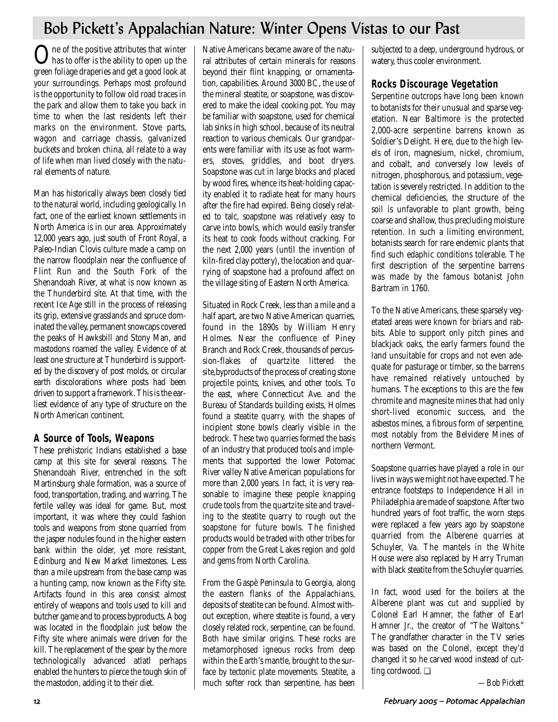# Bob Pickett's Appalachian Nature: Winter Opens Vistas to our Past

 $\bigodot$  has to offer is the ability to open up the green foliage draperies and get a good look at your surroundings. Perhaps most profound is the opportunity to follow old road traces in the park and allow them to take you back in time to when the last residents left their marks on the environment. Stove parts, wagon and carriage chassis, galvanized buckets and broken china, all relate to a way of life when man lived closely with the natural elements of nature.

Man has historically always been closely tied to the natural world, including geologically. In fact, one of the earliest known settlements in North America is in our area. Approximately 12,000 years ago, just south of Front Royal, a Paleo-Indian Clovis culture made a camp on the narrow floodplain near the confluence of Flint Run and the South Fork of the Shenandoah River, at what is now known as the Thunderbird site. At that time, with the recent Ice Age still in the process of releasing its grip, extensive grasslands and spruce dominated the valley, permanent snowcaps covered the peaks of Hawksbill and Stony Man, and mastodons roamed the valley. Evidence of at least one structure at Thunderbird is supported by the discovery of post molds, or circular earth discolorations where posts had been driven to support a framework. This is the earliest evidence of any type of structure on the North American continent.

## **A Source of Tools, Weapons**

These prehistoric Indians established a base camp at this site for several reasons. The Shenandoah River, entrenched in the soft Martinsburg shale formation, was a source of food, transportation, trading, and warring. The fertile valley was ideal for game. But, most important, it was where they could fashion tools and weapons from stone quarried from the jasper nodules found in the higher eastern bank within the older, yet more resistant, Edinburg and New Market limestones. Less than a mile upstream from the base camp was a hunting camp, now known as the Fifty site. Artifacts found in this area consist almost entirely of weapons and tools used to kill and butcher game and to process byproducts. A bog was located in the floodplain just below the Fifty site where animals were driven for the kill. The replacement of the spear by the more technologically advanced atlatl perhaps enabled the hunters to pierce the tough skin of the mastodon, adding it to their diet.

Native Americans became aware of the natural attributes of certain minerals for reasons beyond their flint knapping, or ornamentation, capabilities. Around 3000 BC, the use of the mineral steatite, or soapstone, was discovered to make the ideal cooking pot. You may be familiar with soapstone, used for chemical lab sinks in high school, because of its neutral reaction to various chemicals. Our grandparents were familiar with its use as foot warmers, stoves, griddles, and boot dryers. Soapstone was cut in large blocks and placed by wood fires, whence its heat-holding capacity enabled it to radiate heat for many hours after the fire had expired. Being closely related to talc, soapstone was relatively easy to carve into bowls, which would easily transfer its heat to cook foods without cracking. For the next 2,000 years (until the invention of kiln-fired clay pottery), the location and quarrying of soapstone had a profound affect on the village siting of Eastern North America.

Situated in Rock Creek, less than a mile and a half apart, are two Native American quarries, found in the 1890s by William Henry Holmes. Near the confluence of Piney Branch and Rock Creek, thousands of percussion-flakes of quartzite littered the site,byproducts of the process of creating stone projectile points, knives, and other tools. To the east, where Connecticut Ave. and the Bureau of Standards building exists, Holmes found a steatite quarry, with the shapes of incipient stone bowls clearly visible in the bedrock. These two quarries formed the basis of an industry that produced tools and implements that supported the lower Potomac River valley Native American populations for more than 2,000 years. In fact, it is very reasonable to imagine these people knapping crude tools from the quartzite site and traveling to the steatite quarry to rough out the soapstone for future bowls. The finished products would be traded with other tribes for copper from the Great Lakes region and gold and gems from North Carolina.

From the Gaspè Peninsula to Georgia, along the eastern flanks of the Appalachians, deposits of steatite can be found. Almost without exception, where steatite is found, a very closely related rock, serpentine, can be found. Both have similar origins. These rocks are metamorphosed igneous rocks from deep within the Earth's mantle, brought to the surface by tectonic plate movements. Steatite, a much softer rock than serpentine, has been subjected to a deep, underground hydrous, or watery, thus cooler environment.

## **Rocks Discourage Vegetation**

Serpentine outcrops have long been known to botanists for their unusual and sparse vegetation. Near Baltimore is the protected 2,000-acre serpentine barrens known as Soldier's Delight. Here, due to the high levels of iron, magnesium, nickel, chromium, and cobalt, and conversely low levels of nitrogen, phosphorous, and potassium, vegetation is severely restricted. In addition to the chemical deficiencies, the structure of the soil is unfavorable to plant growth, being coarse and shallow, thus precluding moisture retention. In such a limiting environment, botanists search for rare endemic plants that find such edaphic conditions tolerable. The first description of the serpentine barrens was made by the famous botanist John Bartram in 1760.

To the Native Americans, these sparsely vegetated areas were known for briars and rabbits. Able to support only pitch pines and blackjack oaks, the early farmers found the land unsuitable for crops and not even adequate for pasturage or timber, so the barrens have remained relatively untouched by humans. The exceptions to this are the few chromite and magnesite mines that had only short-lived economic success, and the asbestos mines, a fibrous form of serpentine, most notably from the Belvidere Mines of northern Vermont.

Soapstone quarries have played a role in our lives in ways we might not have expected. The entrance footsteps to Independence Hall in Philadelphia are made of soapstone. After two hundred years of foot traffic, the worn steps were replaced a few years ago by soapstone quarried from the Alberene quarries at Schuyler, Va. The mantels in the White House were also replaced by Harry Truman with black steatite from the Schuyler quarries.

In fact, wood used for the boilers at the Alberene plant was cut and supplied by Colonel Earl Hamner, the father of Earl Hamner Jr., the creator of "The Waltons." The grandfather character in the TV series was based on the Colonel, except they'd changed it so he carved wood instead of cutting cordwood. ❏

*—Bob Pickett*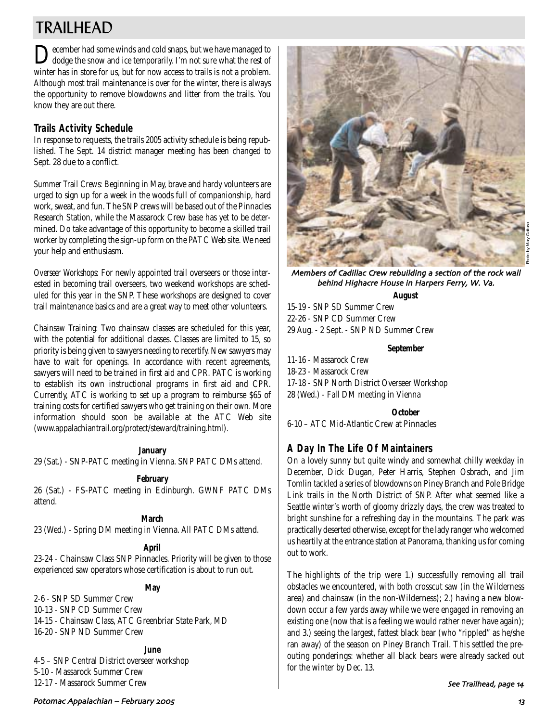# TRAILHEAD

December had some winds and cold snaps, but we have managed to dodge the snow and ice temporarily. I'm not sure what the rest of winter has in store for us, but for now access to trails is not a problem. Although most trail maintenance is over for the winter, there is always the opportunity to remove blowdowns and litter from the trails. You know they are out there.

## **Trails Activity Schedule**

In response to requests, the trails 2005 activity schedule is being republished. The Sept. 14 district manager meeting has been changed to Sept. 28 due to a conflict.

*Summer Trail Crews:* Beginning in May, brave and hardy volunteers are urged to sign up for a week in the woods full of companionship, hard work, sweat, and fun. The SNP crews will be based out of the Pinnacles Research Station, while the Massarock Crew base has yet to be determined. Do take advantage of this opportunity to become a skilled trail worker by completing the sign-up form on the PATC Web site. We need your help and enthusiasm.

*Overseer Workshops:* For newly appointed trail overseers or those interested in becoming trail overseers, two weekend workshops are scheduled for this year in the SNP. These workshops are designed to cover trail maintenance basics and are a great way to meet other volunteers.

*Chainsaw Training:* Two chainsaw classes are scheduled for this year, with the potential for additional classes. Classes are limited to 15, so priority is being given to sawyers needing to recertify. New sawyers may have to wait for openings. In accordance with recent agreements, sawyers will need to be trained in first aid and CPR. PATC is working to establish its own instructional programs in first aid and CPR. Currently, ATC is working to set up a program to reimburse \$65 of training costs for certified sawyers who get training on their own. More information should soon be available at the ATC Web site (www.appalachiantrail.org/protect/steward/training.html).

### **January**

29 (Sat.) - SNP-PATC meeting in Vienna. SNP PATC DMs attend.

### **February**

26 (Sat.) - FS-PATC meeting in Edinburgh. GWNF PATC DMs attend.

**March**

23 (Wed.) - Spring DM meeting in Vienna. All PATC DMs attend.

## **April**

23-24 - Chainsaw Class SNP Pinnacles. Priority will be given to those experienced saw operators whose certification is about to run out.

**May**

2-6 - SNP SD Summer Crew

- 10-13 SNP CD Summer Crew
- 14-15 Chainsaw Class, ATC Greenbriar State Park, MD 16-20 - SNP ND Summer Crew

**June** 4-5 – SNP Central District overseer workshop 5-10 - Massarock Summer Crew 12-17 - Massarock Summer Crew



Members of Cadillac Crew rebuilding a section of the rock wall behind Highacre House in Harpers Ferry, W. Va.

### **August**

15-19 - SNP SD Summer Crew 22-26 - SNP CD Summer Crew 29 Aug. - 2 Sept. - SNP ND Summer Crew

### **September**

11-16 - Massarock Crew

- 18-23 Massarock Crew
- 17-18 SNP North District Overseer Workshop
- 28 (Wed.) Fall DM meeting in Vienna

### **October**

6-10 – ATC Mid-Atlantic Crew at Pinnacles

## **A Day In The Life Of Maintainers**

On a lovely sunny but quite windy and somewhat chilly weekday in December, Dick Dugan, Peter Harris, Stephen Osbrach, and Jim Tomlin tackled a series of blowdowns on Piney Branch and Pole Bridge Link trails in the North District of SNP. After what seemed like a Seattle winter's worth of gloomy drizzly days, the crew was treated to bright sunshine for a refreshing day in the mountains. The park was practically deserted otherwise, except for the lady ranger who welcomed us heartily at the entrance station at Panorama, thanking us for coming out to work.

The highlights of the trip were 1.) successfully removing all trail obstacles we encountered, with both crosscut saw (in the Wilderness area) and chainsaw (in the non-Wilderness); 2.) having a new blowdown occur a few yards away while we were engaged in removing an existing one (now that is a feeling we would rather never have again); and 3.) seeing the largest, fattest black bear (who "rippled" as he/she ran away) of the season on Piney Branch Trail. This settled the preouting ponderings: whether all black bears were already sacked out for the winter by Dec. 13.

### See Trailhead, page 14

## Potomac Appalachian – February ,../ 61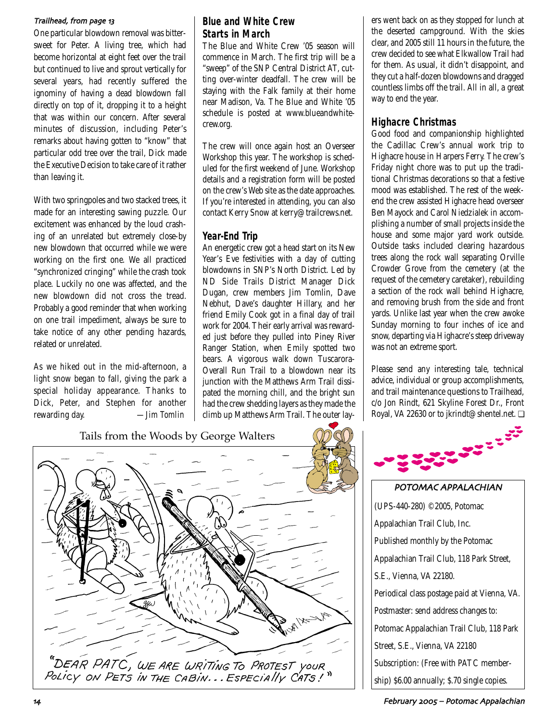### Trailhead, from page 13

One particular blowdown removal was bittersweet for Peter. A living tree, which had become horizontal at eight feet over the trail but continued to live and sprout vertically for several years, had recently suffered the ignominy of having a dead blowdown fall directly on top of it, dropping it to a height that was within our concern. After several minutes of discussion, including Peter's remarks about having gotten to "know" that particular odd tree over the trail, Dick made the Executive Decision to take care of it rather than leaving it.

With two springpoles and two stacked trees, it made for an interesting sawing puzzle. Our excitement was enhanced by the loud crashing of an unrelated but extremely close-by new blowdown that occurred while we were working on the first one. We all practiced "synchronized cringing" while the crash took place. Luckily no one was affected, and the new blowdown did not cross the tread. Probably a good reminder that when working on one trail impediment, always be sure to take notice of any other pending hazards, related or unrelated.

As we hiked out in the mid-afternoon, a light snow began to fall, giving the park a special holiday appearance. Thanks to Dick, Peter, and Stephen for another rewarding day. *—Jim Tomlin*

## **Blue and White Crew Starts in March**

The Blue and White Crew '05 season will commence in March. The first trip will be a "sweep" of the SNP Central District AT, cutting over-winter deadfall. The crew will be staying with the Falk family at their home near Madison, Va. The Blue and White '05 schedule is posted at www.blueandwhitecrew.org.

The crew will once again host an Overseer Workshop this year. The workshop is scheduled for the first weekend of June. Workshop details and a registration form will be posted on the crew's Web site as the date approaches. If you're interested in attending, you can also contact Kerry Snow at kerry@trailcrews.net.

## **Year-End Trip**

An energetic crew got a head start on its New Year's Eve festivities with a day of cutting blowdowns in SNP's North District. Led by ND Side Trails District Manager Dick Dugan, crew members Jim Tomlin, Dave Nebhut, Dave's daughter Hillary, and her friend Emily Cook got in a final day of trail work for 2004. Their early arrival was rewarded just before they pulled into Piney River Ranger Station, when Emily spotted two bears. A vigorous walk down Tuscarora-Overall Run Trail to a blowdown near its junction with the Matthews Arm Trail dissipated the morning chill, and the bright sun had the crew shedding layers as they made the climb up Matthews Arm Trail. The outer lay-

Tails from the Woods by George Walters "DEAR PATC, WE ARE WRITING TO PROTEST YOUR<br>Policy on PETS IN THE CABIN...ESPECIAlly CATS!" ers went back on as they stopped for lunch at the deserted campground. With the skies clear, and 2005 still 11 hours in the future, the crew decided to see what Elkwallow Trail had for them. As usual, it didn't disappoint, and they cut a half-dozen blowdowns and dragged countless limbs off the trail. All in all, a great way to end the year.

## **Highacre Christmas**

Good food and companionship highlighted the Cadillac Crew's annual work trip to Highacre house in Harpers Ferry. The crew's Friday night chore was to put up the traditional Christmas decorations so that a festive mood was established. The rest of the weekend the crew assisted Highacre head overseer Ben Mayock and Carol Niedzialek in accomplishing a number of small projects inside the house and some major yard work outside. Outside tasks included clearing hazardous trees along the rock wall separating Orville Crowder Grove from the cemetery (at the request of the cemetery caretaker), rebuilding a section of the rock wall behind Highacre, and removing brush from the side and front yards. Unlike last year when the crew awoke Sunday morning to four inches of ice and snow, departing via Highacre's steep driveway was not an extreme sport.

Please send any interesting tale, technical advice, individual or group accomplishments, and trail maintenance questions to Trailhead, c/o Jon Rindt, 621 Skyline Forest Dr., Front Royal, VA 22630 or to jkrindt@shentel.net. ❏



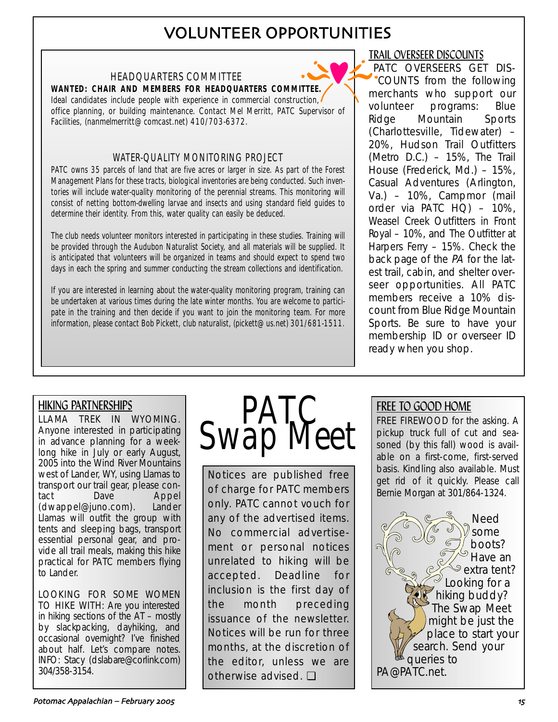# VOLUNTEER OPPORTUNITIES

## HEADQUARTERS COMMITTEE

**WANTED: CHAIR AND MEMBERS FOR HEADQUARTERS COMMITTEE.** Ideal candidates include people with experience in commercial construction, office planning, or building maintenance. Contact Mel Merritt, PATC Supervisor of Facilities, (nanmelmerritt@comcast.net) 410/703-6372.

## WATER-QUALITY MONITORING PROJECT

PATC owns 35 parcels of land that are five acres or larger in size. As part of the Forest Management Plans for these tracts, biological inventories are being conducted. Such inventories will include water-quality monitoring of the perennial streams. This monitoring will consist of netting bottom-dwelling larvae and insects and using standard field guides to determine their identity. From this, water quality can easily be deduced.

The club needs volunteer monitors interested in participating in these studies. Training will be provided through the Audubon Naturalist Society, and all materials will be supplied. It is anticipated that volunteers will be organized in teams and should expect to spend two days in each the spring and summer conducting the stream collections and identification.

If you are interested in learning about the water-quality monitoring program, training can be undertaken at various times during the late winter months. You are welcome to participate in the training and then decide if you want to join the monitoring team. For more information, please contact Bob Pickett, club naturalist, (pickett@us.net) 301/681-1511.

## TRAIL OVERSEER DISCOUNTS

PATC OVERSEERS GET DIS-COUNTS from the following merchants who support our volunteer programs: Blue Ridge Mountain Sports (Charlottesville, Tidewater) – 20%, Hudson Trail Outfitters (Metro D.C.) – 15%, The Trail House (Frederick, Md.) – 15%, Casual Adventures (Arlington, Va.) – 10%, Campmor (mail order via PATC HQ) – 10%, Weasel Creek Outfitters in Front Royal – 10%, and The Outfitter at Harpers Ferry – 15%. Check the back page of the PA for the latest trail, cabin, and shelter overseer opportunities. All PATC members receive a 10% discount from Blue Ridge Mountain Sports. Be sure to have your membership ID or overseer ID ready when you shop.

# HIKING PARTNERSHIPS

LLAMA TREK IN WYOMING. Anyone interested in participating in advance planning for a weeklong hike in July or early August, 2005 into the Wind River Mountains west of Lander, WY, using Llamas to transport our trail gear, please contact Dave Appel (dwappel@juno.com). Lander Llamas will outfit the group with tents and sleeping bags, transport essential personal gear, and provide all trail meals, making this hike practical for PATC members flying to Lander.

LOOKING FOR SOME WOMEN TO HIKE WITH: Are you interested in hiking sections of the AT – mostly by slackpacking, dayhiking, and occasional overnight? I've finished about half. Let's compare notes. INFO: Stacy (dslabare@corlink.com) 304/358-3154.



Notices are published free of charge for PATC members only. PATC cannot vouch for any of the advertised items. No commercial advertisement or personal notices unrelated to hiking will be accepted. Deadline for inclusion is the first day of the month preceding issuance of the newsletter. Notices will be run for three months, at the discretion of the editor, unless we are otherwise advised. ❏

# FREE TO GOOD HOME

FREE FIREWOOD for the asking. A pickup truck full of cut and seasoned (by this fall) wood is available on a first-come, first-served basis. Kindling also available. Must get rid of it quickly. Please call Bernie Morgan at 301/864-1324.

Need some boots? Have an extra tent? Looking for a hiking buddy? The Swap Meet might be just the place to start your search. Send your queries to PA@PATC.net.